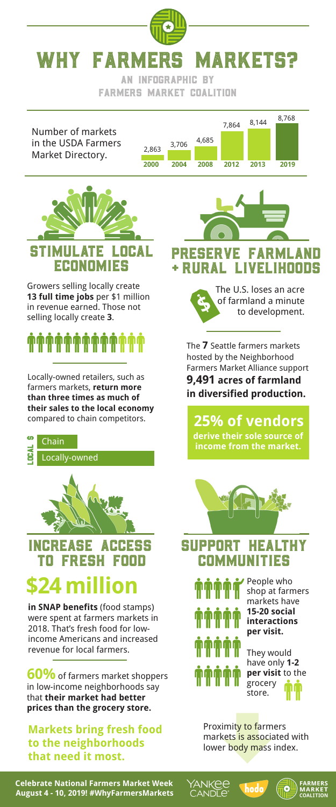

AN INFOGRAPHIC BY fARMERS MARKET COALITION

Number of markets in the USDA Farmers Market Directory.

2,863 3,706 4,685





Growers selling locally create **13 full time jobs** per \$1 million in revenue earned. Those not selling locally create **3**.

### **ŴŴŴŴŴŴŴŴŴŴ**

Locally-owned retailers, such as farmers markets, **return more than three times as much of their sales to the local economy** compared to chain competitors.



#### Increase Access **TO FRESH**

### **24 milli**

**in SNAP benefits** (food stamps) were spent at farmers markets in 2018. That's fresh food for lowincome Americans and increased revenue for local farmers.

**60%** of farmers market shoppers in low-income neighborhoods say that **their market had better prices than the grocery store.**

**Markets bring fresh food to the neighborhoods that need it most.** 

**\$** The U.S. loses an acre of farmland a minute to development. Preserve Farmland LIVELIHOODS

> The **7** Seattle farmers markets hosted by the Neighborhood Farmers Market Alliance support **9,491 acres of farmland in diversified production.**

**derive their sole source of income from the market. 25% of vendors**



### Support Healthy **COMMUNITIES**



ANKEE

**ANDLE** 

People who shop at farmers markets have **15-20 social interactions per visit.**

They would have only **1-2 per visit** to the grocery store.

Proximity to farmers markets is associated with lower body mass index.

hodo

**Celebrate National Farmers Market Week August 4 - 10, 2019! #WhyFarmersMarkets**